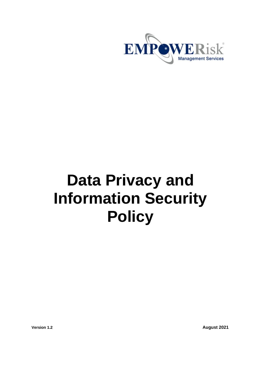

# **Data Privacy and Information Security Policy**

**Version 1.2 August 2021**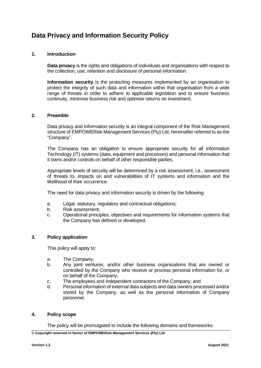# **Data Privacy and Information Security Policy**

# **1. Introduction**

**Data privacy** is the rights and obligations of individuals and organisations with respect to the collection, use, retention and disclosure of personal information.

**Information security** is the protecting measures implemented by an organisation to protect the integrity of such data and information within that organisation from a wide range of threats in order to adhere to applicable legislation and to ensure business continuity, minimise business risk and optimise returns on investment.

#### **2. Preamble**

Data privacy and Information security is an integral component of the Risk Management structure of EMPOWERisk Management Services (Pty) Ltd, hereinafter referred to as the "Company".

The Company has an obligation to ensure appropriate security for all Information Technology (IT) systems (data, equipment and processes) and personal information that it owns and/or controls on behalf of other responsible parties.

Appropriate levels of security will be determined by a risk assessment, i.e., assessment of threats to, impacts on and vulnerabilities of IT systems and information and the likelihood of their occurrence.

The need for data privacy and information security is driven by the following:

- a. Legal, statutory, regulatory and contractual obligations;
- b. Risk assessment;
- c. Operational principles, objectives and requirements for information systems that the Company has defined or developed.

# **3. Policy application**

This policy will apply to:

- a. The Company;
- b. Any joint ventures, and/or other business organisations that are owned or controlled by the Company who receive or process personal information for, or on behalf of the Company;
- c. The employees and independent contractors of the Company; and
- d. Personal information of external data subjects and data owners processed and/or stored by the Company, as well as the personal information of Company personnel.

# **4. Policy scope**

The policy will be promulgated to include the following domains and frameworks:

**© Copyright reserved in favour of EMPOWERisk Management Services (Pty) Ltd**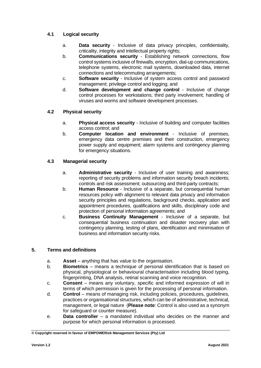# **4.1 Logical security**

- a. **Data security** Inclusive of data privacy principles, confidentiality, criticality, integrity and intellectual property rights;
- b. **Communications security** Establishing network connections, flow control systems inclusive of firewalls, encryption, dial-up communications, telephone systems, electronic mail systems, downloaded data, internet connections and telecommuting arrangements;
- c. **Software security** Inclusive of system access control and password management; privilege control and logging; and
- d. **Software development and change control** Inclusive of change control processes for workstations; third party involvement; handling of viruses and worms and software development processes.

# **4.2 Physical security**

- a. **Physical access security** Inclusive of building and computer facilities access control; and
- b. **Computer location and environment** Inclusive of premises, emergency data centre premises and their construction, emergency power supply and equipment; alarm systems and contingency planning for emergency situations.

# **4.3 Managerial security**

- a. **Administrative security** Inclusive of user training and awareness; reporting of security problems and information security breach incidents; controls and risk assessment; outsourcing and third-party contracts;
- b. **Human Resource** Inclusive of a separate, but consequential human resources policy with alignment to relevant data privacy and information security principles and regulations, background checks, application and appointment procedures, qualifications and skills, disciplinary code and protection of personal information agreements; and
- c. **Business Continuity Management** Inclusive of a separate, but consequential business continuation and disaster recovery plan with contingency planning, testing of plans, identification and minimisation of business and information security risks.

# **5. Terms and definitions**

- a. **Asset**  anything that has value to the organisation.
- b. **Biometrics**  means a technique of personal identification that is based on physical, physiological or behavioural characterisation including blood typing, fingerprinting, DNA analysis, retinal scanning and voice recognition.
- c. **Consent**  means any voluntary, specific and informed expression of will in terms of which permission is given for the processing of personal information.
- d. **Control**  means of managing risk, including policies, procedures, guidelines, practices or organisational structures, which can be of administrative, technical, management, or legal nature (**Please note**: Control is also used as a synonym for safeguard or counter measure).
- e. **Data controller**  a mandated individual who decides on the manner and purpose for which personal information is processed.

**<sup>©</sup> Copyright reserved in favour of EMPOWERisk Management Services (Pty) Ltd**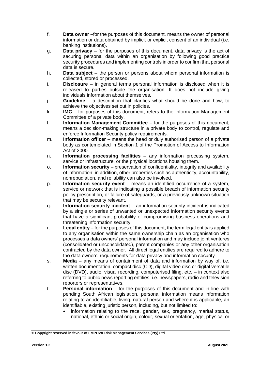- f. **Data owner** –for the purposes of this document, means the owner of personal information or data obtained by implicit or explicit consent of an individual (i.e. banking institutions).
- g. **Data privacy**  for the purposes of this document, data privacy is the act of securing personal data within an organisation by following good practice security procedures and implementing controls in order to confirm that personal data is secure.
- h. **Data subject**  the person or persons about whom personal information is collected, stored or processed.
- i. **Disclosure**  in general terms personal information is disclosed when it is released to parties outside the organisation. It does not include giving individuals information about themselves.
- j. **Guideline**  a description that clarifies what should be done and how, to achieve the objectives set out in policies.
- k. **IMC**  for purposes of this document, refers to the Information Management Committee of a private body.
- l. **Information Management Committee**  for the purposes of this document, means a decision-making structure in a private body to control, regulate and enforce Information Security policy requirements.
- m. **Information officer**  means the head or duly authorised person of a private body as contemplated in Section 1 of the Promotion of Access to Information Act of 2000.
- n. **Information processing facilities**  any information processing system, service or infrastructure, or the physical locations housing them.
- o. **Information security**  preservation of confidentiality, integrity and availability of information; in addition, other properties such as authenticity, accountability, nonrepudiation, and reliability can also be involved.
- p. **Information security event**  means an identified occurrence of a system, service or network that is indicating a possible breach of information security policy prescription, or failure of safeguards, or a previously unknown situation that may be security relevant.
- q. **Information security incident**  an information security incident is indicated by a single or series of unwanted or unexpected information security events that have a significant probability of compromising business operations and threatening information security.
- r. **Legal entity**  for the purposes of this document, the term legal entity is applied to any organisation within the same ownership chain as an organisation who processes a data owners' personal information and may include joint ventures (consolidated or unconsolidated), parent companies or any other organisation contracted by the data owner. All direct legal entities are required to adhere to the data owners' requirements for data privacy and information security.
- s. **Media**  any means of containment of data and information by way of, i.e. written documentation, compact disc (CD), digital video disc or digital versatile disc (DVD), audio, visual recording, computerised filing, etc. – in context also referring to public news reporting entities, i.e. newspapers, radio and television reporters or representatives.
- t. **Personal information**  for the purposes of this document and in line with pending South African legislation, personal information means information relating to an identifiable, living, natural person and where it is applicable, an identifiable, existing juristic person, including, but not limited to:
	- information relating to the race, gender, sex, pregnancy, marital status, national, ethnic or social origin, colour, sexual orientation, age, physical or

**<sup>©</sup> Copyright reserved in favour of EMPOWERisk Management Services (Pty) Ltd**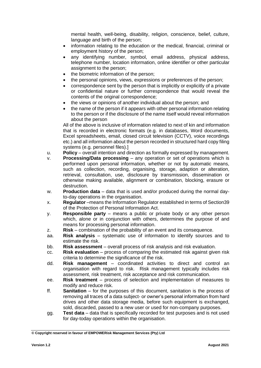mental health, well-being, disability, religion, conscience, belief, culture, language and birth of the person;

- information relating to the education or the medical, financial, criminal or employment history of the person;
- any identifying number, symbol, email address, physical address, telephone number, location information, online identifier or other particular assignment to the person;
- the biometric information of the person;
- the personal opinions, views, expressions or preferences of the person;
- correspondence sent by the person that is implicitly or explicitly of a private or confidential nature or further correspondence that would reveal the contents of the original correspondence;
- the views or opinions of another individual about the person; and
- the name of the person if it appears with other personal information relating to the person or if the disclosure of the name itself would reveal information about the person

All of the above is inclusive of information related to next of kin and information that is recorded in electronic formats (e.g. in databases, Word documents, Excel spreadsheets, email, closed circuit television (CCTV), voice recordings etc.) and all information about the person recorded in structured hard copy filing systems (e.g. personnel files).]

- u. **Policy** overall intention and direction as formally expressed by management.
- v. **Processing/Data processing** any operation or set of operations which is performed upon personal information, whether or not by automatic means, such as collection, recording, organising, storage, adaption or alteration, retrieval, consultation, use, disclosure by transmission, dissemination or otherwise making available, alignment or combination, blocking, erasure or destruction.
- w. **Production data** data that is used and/or produced during the normal dayto-day operations in the organisation.
- x. **Regulator** –means the Information Regulator established in terms of Section39 of the Protection of Personal Information Act.
- y. **Responsible party** means a public or private body or any other person which, alone or in conjunction with others, determines the purpose of and means for processing personal information.
- z. **Risk** combination of the probability of an event and its consequence.
- aa. **Risk analysis** systematic use of information to identify sources and to estimate the risk.
- bb. **Risk assessment** overall process of risk analysis and risk evaluation.
- cc. **Risk evaluation** process of comparing the estimated risk against given risk criteria to determine the significance of the risk.
- dd. **Risk management** coordinated activities to direct and control an organisation with regard to risk. Risk management typically includes risk assessment, risk treatment, risk acceptance and risk communication.
- ee. **Risk treatment** process of selection and implementation of measures to modify and reduce risk.
- ff. **Sanitation**  for the purposes of this document, sanitation is the process of removing all traces of a data subject- or owner's personal information from hard drives and other data storage media, before such equipment is exchanged, sold, discarded, passed to a new user or used for non-company purposes.
- gg. **Test data**  data that is specifically recorded for test purposes and is not used for day-today operations within the organisation.

**<sup>©</sup> Copyright reserved in favour of EMPOWERisk Management Services (Pty) Ltd**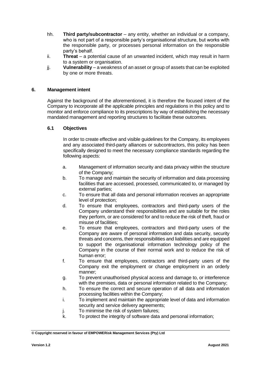- hh. **Third party/subcontractor**  any entity, whether an individual or a company, who is not part of a responsible party's organisational structure, but works with the responsible party, or processes personal information on the responsible party's behalf.
- ii. **Threat** a potential cause of an unwanted incident, which may result in harm to a system or organisation.
- jj. **Vulnerability**  a weakness of an asset or group of assets that can be exploited by one or more threats.

# **6. Management intent**

Against the background of the aforementioned, it is therefore the focused intent of the Company to incorporate all the applicable principles and regulations in this policy and to monitor and enforce compliance to its prescriptions by way of establishing the necessary mandated management and reporting structures to facilitate these outcomes.

#### **6.1 Objectives**

In order to create effective and visible guidelines for the Company, its employees and any associated third-party alliances or subcontractors, this policy has been specifically designed to meet the necessary compliance standards regarding the following aspects:

- a. Management of information security and data privacy within the structure of the Company;
- b. To manage and maintain the security of information and data processing facilities that are accessed, processed, communicated to, or managed by external parties;
- c. To ensure that all data and personal information receives an appropriate level of protection;
- d. To ensure that employees, contractors and third-party users of the Company understand their responsibilities and are suitable for the roles they perform, or are considered for and to reduce the risk of theft, fraud or misuse of facilities;
- e. To ensure that employees, contractors and third-party users of the Company are aware of personal information and data security, security threats and concerns, their responsibilities and liabilities and are equipped to support the organisational information technology policy of the Company in the course of their normal work and to reduce the risk of human error;
- f. To ensure that employees, contractors and third-party users of the Company exit the employment or change employment in an orderly manner;
- g. To prevent unauthorised physical access and damage to, or interference with the premises, data or personal information related to the Company;
- h. To ensure the correct and secure operation of all data and information processing facilities within the Company;
- i. To implement and maintain the appropriate level of data and information security and service delivery agreements;
- j. To minimise the risk of system failures;
- k. To protect the integrity of software data and personal information;

**<sup>©</sup> Copyright reserved in favour of EMPOWERisk Management Services (Pty) Ltd**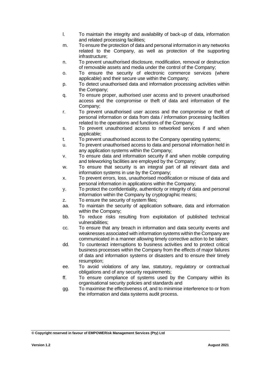- l. To maintain the integrity and availability of back-up of data, information and related processing facilities;
- m. To ensure the protection of data and personal information in any networks related to the Company, as well as protection of the supporting infrastructure;
- n. To prevent unauthorised disclosure, modification, removal or destruction of removable assets and media under the control of the Company;
- o. To ensure the security of electronic commerce services (where applicable) and their secure use within the Company;
- p. To detect unauthorised data and information processing activities within the Company;
- q. To ensure proper, authorised user access and to prevent unauthorised access and the compromise or theft of data and information of the Company;
- r. To prevent unauthorised user access and the compromise or theft of personal information or data from data / information processing facilities related to the operations and functions of the Company;
- s. To prevent unauthorised access to networked services if and when applicable;
- t. To prevent unauthorised access to the Company operating systems;
- u. To prevent unauthorised access to data and personal information held in any application systems within the Company;
- v. To ensure data and information security if and when mobile computing and teleworking facilities are employed by the Company;
- w. To ensure that security is an integral part of all relevant data and information systems in use by the Company;
- x. To prevent errors, loss, unauthorised modification or misuse of data and personal information in applications within the Company;
- y. To protect the confidentiality, authenticity or integrity of data and personal information within the Company by cryptographic means;
- z. To ensure the security of system files;
- aa. To maintain the security of application software, data and information within the Company;
- bb. To reduce risks resulting from exploitation of published technical vulnerabilities;
- cc. To ensure that any breach in information and data security events and weaknesses associated with information systems within the Company are communicated in a manner allowing timely corrective action to be taken;
- dd. To counteract interruptions to business activities and to protect critical business processes within the Company from the effects of major failures of data and information systems or disasters and to ensure their timely resumption;
- ee. To avoid violations of any law, statutory, regulatory or contractual obligations and of any security requirements;
- ff. To ensure compliance of systems used by the Company within its organisational security policies and standards and
- gg. To maximise the effectiveness of, and to minimise interference to or from the information and data systems audit process.

**<sup>©</sup> Copyright reserved in favour of EMPOWERisk Management Services (Pty) Ltd**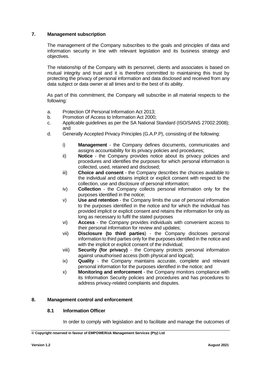# **7. Management subscription**

The management of the Company subscribes to the goals and principles of data and information security in line with relevant legislation and its business strategy and objectives.

The relationship of the Company with its personnel, clients and associates is based on mutual integrity and trust and it is therefore committed to maintaining this trust by protecting the privacy of personal information and data disclosed and received from any data subject or data owner at all times and to the best of its ability.

As part of this commitment, the Company will subscribe in all material respects to the following:

- a. Protection Of Personal Information Act 2013;
- b. Promotion of Access to Information Act 2000;
- c. Applicable guidelines as per the SA National Standard (ISO/SANS 27002:2008); and
- d. Generally Accepted Privacy Principles (G.A.P.P), consisting of the following:
	- i) **Management**  the Company defines documents, communicates and assigns accountability for its privacy policies and procedures;
	- ii) **Notice**  the Company provides notice about its privacy policies and procedures and identifies the purposes for which personal information is collected, used, retained and disclosed;
	- iii) **Choice and consent**  the Company describes the choices available to the individual and obtains implicit or explicit consent with respect to the collection, use and disclosure of personal information;
	- iv) **Collection**  the Company collects personal information only for the purposes identified in the notice;
	- v) **Use and retention**  the Company limits the use of personal information to the purposes identified in the notice and for which the individual has provided implicit or explicit consent and retains the information for only as long as necessary to fulfil the stated purposes
	- vi) **Access**  the Company provides individuals with convenient access to their personal information for review and updates;
	- vii) **Disclosure (to third parties**) the Company discloses personal information to third parties only for the purposes identified in the notice and with the implicit or explicit consent of the individual;
	- viii) **Security (for privacy)** the Company protects personal information against unauthorised access (both physical and logical);
	- ix) **Quality** the Company maintains accurate, complete and relevant personal information for the purposes identified in the notice; and
	- x) **Monitoring and enforcement** the Company monitors compliance with its Information Security policies and procedures and has procedures to address privacy-related complaints and disputes.

#### **8. Management control and enforcement**

#### **8.1 Information Officer**

In order to comply with legislation and to facilitate and manage the outcomes of

**<sup>©</sup> Copyright reserved in favour of EMPOWERisk Management Services (Pty) Ltd**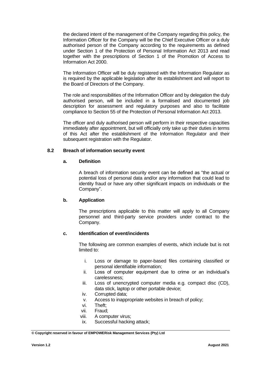the declared intent of the management of the Company regarding this policy, the Information Officer for the Company will be the Chief Executive Officer or a duly authorised person of the Company according to the requirements as defined under Section 1 of the Protection of Personal Information Act 2013 and read together with the prescriptions of Section 1 of the Promotion of Access to Information Act 2000.

The Information Officer will be duly registered with the Information Regulator as is required by the applicable legislation after its establishment and will report to the Board of Directors of the Company.

The role and responsibilities of the Information Officer and by delegation the duly authorised person, will be included in a formalised and documented job description for assessment and regulatory purposes and also to facilitate compliance to Section 55 of the Protection of Personal Information Act 2013.

The officer and duly authorised person will perform in their respective capacities immediately after appointment, but will officially only take up their duties in terms of this Act after the establishment of the Information Regulator and their subsequent registration with the Regulator.

# **8.2 Breach of information security event**

### **a. Definition**

A breach of information security event can be defined as "the actual or potential loss of personal data and/or any information that could lead to identity fraud or have any other significant impacts on individuals or the Company".

# **b. Application**

The prescriptions applicable to this matter will apply to all Company personnel and third-party service providers under contract to the Company.

# **c. Identification of event/incidents**

The following are common examples of events, which include but is not limited to:

- i. Loss or damage to paper-based files containing classified or personal identifiable information;
- ii. Loss of computer equipment due to crime or an individual's carelessness;
- iii. Loss of unencrypted computer media e.g. compact disc (CD), data stick, laptop or other portable device;
- iv. Corrupted data;
- v. Access to inappropriate websites in breach of policy;
- vi. Theft;
- vii. Fraud;
- viii. A computer virus;
- ix. Successful hacking attack;

#### **© Copyright reserved in favour of EMPOWERisk Management Services (Pty) Ltd**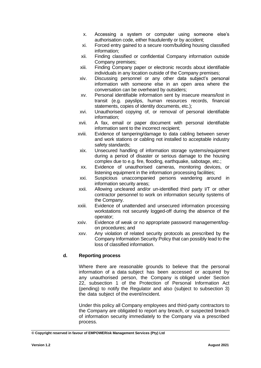- x. Accessing a system or computer using someone else's authorisation code, either fraudulently or by accident;
- xi. Forced entry gained to a secure room/building housing classified information;
- xii. Finding classified or confidential Company information outside Company premises;
- xiii. Finding Company paper or electronic records about identifiable individuals in any location outside of the Company premises;
- xiv. Discussing personnel or any other data subject's personal information with someone else in an open area where the conversation can be overheard by outsiders;
- xv. Personal identifiable information sent by insecure means/lost in transit (e.g. payslips, human resources records, financial statements, copies of identity documents, etc.);
- xvi. Unauthorised copying of, or removal of personal identifiable information;
- xvii. A fax, email or paper document with personal identifiable information sent to the incorrect recipient;
- xviii. Evidence of tampering/damage to data cabling between server and work stations or cabling not installed to acceptable industry safety standards;
- xix. Unsecured handling of information storage systems/equipment during a period of disaster or serious damage to the housing complex due to e.g. fire, flooding, earthquake, sabotage, etc.;
- xx. Evidence of unauthorised cameras, monitoring devices, or listening equipment in the information processing facilities;
- xxi. Suspicious unaccompanied persons wandering around in information security areas;
- xxii. Allowing uncleared and/or un-identified third party I/T or other contractor personnel to work on information security systems of the Company.
- xxiii. Evidence of unattended and unsecured information processing workstations not securely logged-off during the absence of the operator;
- xxiv. Evidence of weak or no appropriate password management/logon procedures; and
- xxv. Any violation of related security protocols as prescribed by the Company Information Security Policy that can possibly lead to the loss of classified information.

# **d. Reporting process**

Where there are reasonable grounds to believe that the personal information of a data subject has been accessed or acquired by any unauthorised person, the Company is obliged under Section 22, subsection 1 of the Protection of Personal Information Act (pending) to notify the Regulator and also (subject to subsection 3) the data subject of the event/incident.

Under this policy all Company employees and third-party contractors to the Company are obligated to report any breach, or suspected breach of information security immediately to the Company via a prescribed process.

**<sup>©</sup> Copyright reserved in favour of EMPOWERisk Management Services (Pty) Ltd**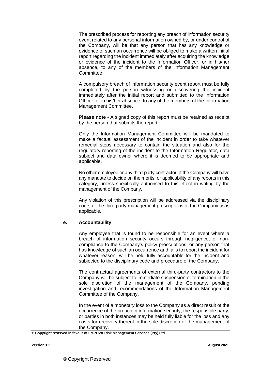The prescribed process for reporting any breach of information security event related to any personal information owned by, or under control of the Company, will be that any person that has any knowledge or evidence of such an occurrence will be obliged to make a written initial report regarding the incident immediately after acquiring the knowledge or evidence of the incident to the Information Officer, or in his/her absence, to any of the members of the Information Management Committee.

A compulsory breach of information security event report must be fully completed by the person witnessing or discovering the incident immediately after the initial report and submitted to the Information Officer, or in his/her absence, to any of the members of the Information Management Committee.

**Please note** - A signed copy of this report must be retained as receipt by the person that submits the report.

Only the Information Management Committee will be mandated to make a factual assessment of the incident in order to take whatever remedial steps necessary to contain the situation and also for the regulatory reporting of the incident to the Information Regulator, data subject and data owner where it is deemed to be appropriate and applicable.

No other employee or any third-party contractor of the Company will have any mandate to decide on the merits, or applicability of any reports in this category, unless specifically authorised to this effect in writing by the management of the Company.

Any violation of this prescription will be addressed via the disciplinary code, or the third-party management prescriptions of the Company as is applicable.

# **e. Accountability**

Any employee that is found to be responsible for an event where a breach of information security occurs through negligence, or noncompliance to the Company's policy prescriptions, or any person that has knowledge of such an occurrence and fails to report the incident for whatever reason, will be held fully accountable for the incident and subjected to the disciplinary code and procedure of the Company.

The contractual agreements of external third-party contractors to the Company will be subject to immediate suspension or termination in the sole discretion of the management of the Company, pending investigation and recommendations of the Information Management Committee of the Company.

In the event of a monetary loss to the Company as a direct result of the occurrence of the breach in information security, the responsible party, or parties in both instances may be held fully liable for the loss and any costs for recovery thereof in the sole discretion of the management of the Company.

**© Copyright reserved in favour of EMPOWERisk Management Services (Pty) Ltd**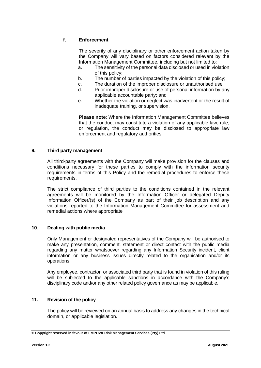# **f. Enforcement**

The severity of any disciplinary or other enforcement action taken by the Company will vary based on factors considered relevant by the Information Management Committee, including but not limited to:

- a. The sensitivity of the personal data disclosed or used in violation of this policy;
- b. The number of parties impacted by the violation of this policy;
- c. The duration of the improper disclosure or unauthorised use;
- d. Prior improper disclosure or use of personal information by any applicable accountable party; and
- e. Whether the violation or neglect was inadvertent or the result of inadequate training, or supervision.

**Please note**: Where the Information Management Committee believes that the conduct may constitute a violation of any applicable law, rule, or regulation, the conduct may be disclosed to appropriate law enforcement and regulatory authorities.

#### **9. Third party management**

All third-party agreements with the Company will make provision for the clauses and conditions necessary for these parties to comply with the information security requirements in terms of this Policy and the remedial procedures to enforce these requirements.

The strict compliance of third parties to the conditions contained in the relevant agreements will be monitored by the Information Officer or delegated Deputy Information Officer/(s) of the Company as part of their job description and any violations reported to the Information Management Committee for assessment and remedial actions where appropriate

# **10. Dealing with public media**

Only Management or designated representatives of the Company will be authorised to make any presentation, comment, statement or direct contact with the public media regarding any matter whatsoever regarding any Information Security incident, client information or any business issues directly related to the organisation and/or its operations.

Any employee, contractor, or associated third party that is found in violation of this ruling will be subjected to the applicable sanctions in accordance with the Company's disciplinary code and/or any other related policy governance as may be applicable.

#### **11. Revision of the policy**

The policy will be reviewed on an annual basis to address any changes in the technical domain, or applicable legislation.

**<sup>©</sup> Copyright reserved in favour of EMPOWERisk Management Services (Pty) Ltd**